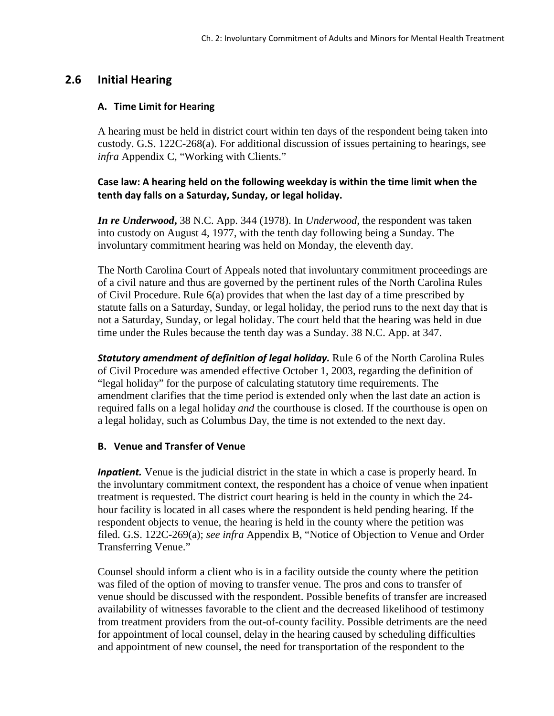# **2.6 Initial Hearing**

#### **A. Time Limit for Hearing**

A hearing must be held in district court within ten days of the respondent being taken into custody. G.S. 122C-268(a). For additional discussion of issues pertaining to hearings, see *infra* Appendix C, "Working with Clients."

## **Case law: A hearing held on the following weekday is within the time limit when the tenth day falls on a Saturday, Sunday, or legal holiday.**

*In re Underwood***,** 38 N.C. App. 344 (1978). In *Underwood,* the respondent was taken into custody on August 4, 1977, with the tenth day following being a Sunday. The involuntary commitment hearing was held on Monday, the eleventh day.

The North Carolina Court of Appeals noted that involuntary commitment proceedings are of a civil nature and thus are governed by the pertinent rules of the North Carolina Rules of Civil Procedure. Rule 6(a) provides that when the last day of a time prescribed by statute falls on a Saturday, Sunday, or legal holiday, the period runs to the next day that is not a Saturday, Sunday, or legal holiday. The court held that the hearing was held in due time under the Rules because the tenth day was a Sunday. 38 N.C. App. at 347.

**Statutory amendment of definition of legal holiday.** Rule 6 of the North Carolina Rules of Civil Procedure was amended effective October 1, 2003, regarding the definition of "legal holiday" for the purpose of calculating statutory time requirements. The amendment clarifies that the time period is extended only when the last date an action is required falls on a legal holiday *and* the courthouse is closed. If the courthouse is open on a legal holiday, such as Columbus Day, the time is not extended to the next day.

### **B. Venue and Transfer of Venue**

*Inpatient*. Venue is the judicial district in the state in which a case is properly heard. In the involuntary commitment context, the respondent has a choice of venue when inpatient treatment is requested. The district court hearing is held in the county in which the 24 hour facility is located in all cases where the respondent is held pending hearing. If the respondent objects to venue, the hearing is held in the county where the petition was filed. G.S. 122C-269(a); *see infra* Appendix B, "Notice of Objection to Venue and Order Transferring Venue."

Counsel should inform a client who is in a facility outside the county where the petition was filed of the option of moving to transfer venue. The pros and cons to transfer of venue should be discussed with the respondent. Possible benefits of transfer are increased availability of witnesses favorable to the client and the decreased likelihood of testimony from treatment providers from the out-of-county facility. Possible detriments are the need for appointment of local counsel, delay in the hearing caused by scheduling difficulties and appointment of new counsel, the need for transportation of the respondent to the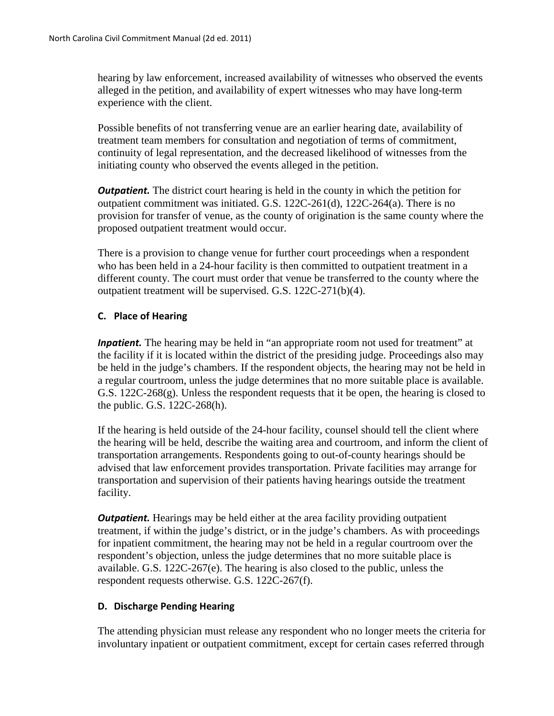hearing by law enforcement, increased availability of witnesses who observed the events alleged in the petition, and availability of expert witnesses who may have long-term experience with the client.

Possible benefits of not transferring venue are an earlier hearing date, availability of treatment team members for consultation and negotiation of terms of commitment, continuity of legal representation, and the decreased likelihood of witnesses from the initiating county who observed the events alleged in the petition.

*Outpatient.* The district court hearing is held in the county in which the petition for outpatient commitment was initiated. G.S. 122C-261(d), 122C-264(a). There is no provision for transfer of venue, as the county of origination is the same county where the proposed outpatient treatment would occur.

There is a provision to change venue for further court proceedings when a respondent who has been held in a 24-hour facility is then committed to outpatient treatment in a different county. The court must order that venue be transferred to the county where the outpatient treatment will be supervised. G.S. 122C-271(b)(4).

### **C. Place of Hearing**

*Inpatient*. The hearing may be held in "an appropriate room not used for treatment" at the facility if it is located within the district of the presiding judge. Proceedings also may be held in the judge's chambers. If the respondent objects, the hearing may not be held in a regular courtroom, unless the judge determines that no more suitable place is available. G.S. 122C-268(g). Unless the respondent requests that it be open, the hearing is closed to the public. G.S. 122C-268(h).

If the hearing is held outside of the 24-hour facility, counsel should tell the client where the hearing will be held, describe the waiting area and courtroom, and inform the client of transportation arrangements. Respondents going to out-of-county hearings should be advised that law enforcement provides transportation. Private facilities may arrange for transportation and supervision of their patients having hearings outside the treatment facility.

*Outpatient.* Hearings may be held either at the area facility providing outpatient treatment, if within the judge's district, or in the judge's chambers. As with proceedings for inpatient commitment, the hearing may not be held in a regular courtroom over the respondent's objection, unless the judge determines that no more suitable place is available. G.S. 122C-267(e). The hearing is also closed to the public, unless the respondent requests otherwise. G.S. 122C-267(f).

### **D. Discharge Pending Hearing**

The attending physician must release any respondent who no longer meets the criteria for involuntary inpatient or outpatient commitment, except for certain cases referred through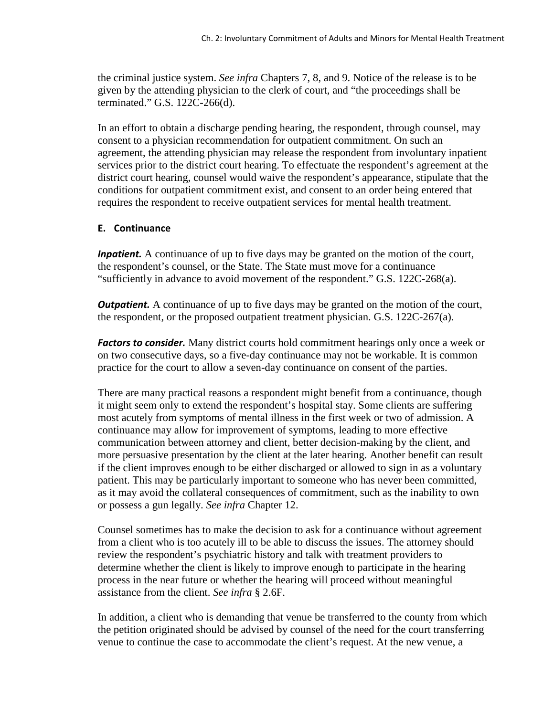the criminal justice system. *See infra* Chapters 7, 8, and 9. Notice of the release is to be given by the attending physician to the clerk of court, and "the proceedings shall be terminated." G.S. 122C-266(d).

In an effort to obtain a discharge pending hearing, the respondent, through counsel, may consent to a physician recommendation for outpatient commitment. On such an agreement, the attending physician may release the respondent from involuntary inpatient services prior to the district court hearing. To effectuate the respondent's agreement at the district court hearing, counsel would waive the respondent's appearance, stipulate that the conditions for outpatient commitment exist, and consent to an order being entered that requires the respondent to receive outpatient services for mental health treatment.

#### **E. Continuance**

*Inpatient.* A continuance of up to five days may be granted on the motion of the court, the respondent's counsel, or the State. The State must move for a continuance "sufficiently in advance to avoid movement of the respondent." G.S. 122C-268(a).

*Outpatient.* A continuance of up to five days may be granted on the motion of the court, the respondent, or the proposed outpatient treatment physician. G.S. 122C-267(a).

*Factors to consider.* Many district courts hold commitment hearings only once a week or on two consecutive days, so a five-day continuance may not be workable. It is common practice for the court to allow a seven-day continuance on consent of the parties.

There are many practical reasons a respondent might benefit from a continuance, though it might seem only to extend the respondent's hospital stay. Some clients are suffering most acutely from symptoms of mental illness in the first week or two of admission. A continuance may allow for improvement of symptoms, leading to more effective communication between attorney and client, better decision-making by the client, and more persuasive presentation by the client at the later hearing. Another benefit can result if the client improves enough to be either discharged or allowed to sign in as a voluntary patient. This may be particularly important to someone who has never been committed, as it may avoid the collateral consequences of commitment, such as the inability to own or possess a gun legally. *See infra* Chapter 12.

Counsel sometimes has to make the decision to ask for a continuance without agreement from a client who is too acutely ill to be able to discuss the issues. The attorney should review the respondent's psychiatric history and talk with treatment providers to determine whether the client is likely to improve enough to participate in the hearing process in the near future or whether the hearing will proceed without meaningful assistance from the client. *See infra* § 2.6F.

In addition, a client who is demanding that venue be transferred to the county from which the petition originated should be advised by counsel of the need for the court transferring venue to continue the case to accommodate the client's request. At the new venue, a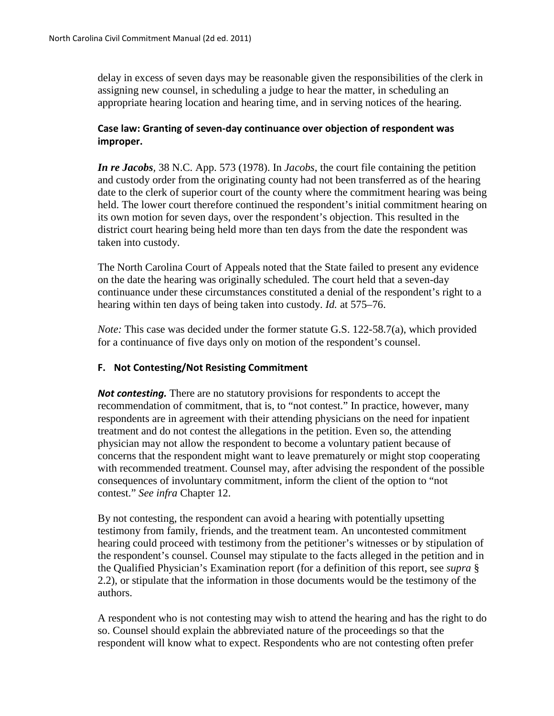delay in excess of seven days may be reasonable given the responsibilities of the clerk in assigning new counsel, in scheduling a judge to hear the matter, in scheduling an appropriate hearing location and hearing time, and in serving notices of the hearing.

## **Case law: Granting of seven-day continuance over objection of respondent was improper.**

*In re Jacobs,* 38 N.C. App. 573 (1978). In *Jacobs*, the court file containing the petition and custody order from the originating county had not been transferred as of the hearing date to the clerk of superior court of the county where the commitment hearing was being held. The lower court therefore continued the respondent's initial commitment hearing on its own motion for seven days, over the respondent's objection. This resulted in the district court hearing being held more than ten days from the date the respondent was taken into custody.

The North Carolina Court of Appeals noted that the State failed to present any evidence on the date the hearing was originally scheduled. The court held that a seven-day continuance under these circumstances constituted a denial of the respondent's right to a hearing within ten days of being taken into custody. *Id.* at 575–76.

*Note:* This case was decided under the former statute G.S. 122-58.7(a), which provided for a continuance of five days only on motion of the respondent's counsel.

### **F. Not Contesting/Not Resisting Commitment**

*Not contesting.* There are no statutory provisions for respondents to accept the recommendation of commitment, that is, to "not contest." In practice, however, many respondents are in agreement with their attending physicians on the need for inpatient treatment and do not contest the allegations in the petition. Even so, the attending physician may not allow the respondent to become a voluntary patient because of concerns that the respondent might want to leave prematurely or might stop cooperating with recommended treatment. Counsel may, after advising the respondent of the possible consequences of involuntary commitment, inform the client of the option to "not contest." *See infra* Chapter 12.

By not contesting, the respondent can avoid a hearing with potentially upsetting testimony from family, friends, and the treatment team. An uncontested commitment hearing could proceed with testimony from the petitioner's witnesses or by stipulation of the respondent's counsel. Counsel may stipulate to the facts alleged in the petition and in the Qualified Physician's Examination report (for a definition of this report, see *supra* § 2.2), or stipulate that the information in those documents would be the testimony of the authors.

A respondent who is not contesting may wish to attend the hearing and has the right to do so. Counsel should explain the abbreviated nature of the proceedings so that the respondent will know what to expect. Respondents who are not contesting often prefer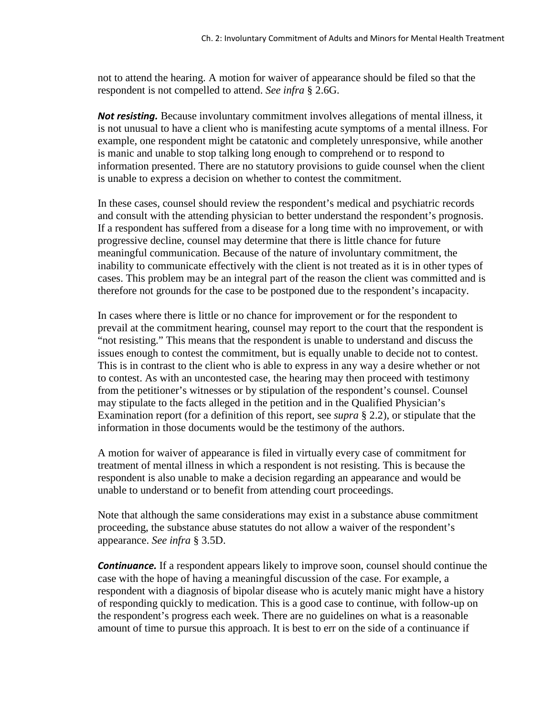not to attend the hearing. A motion for waiver of appearance should be filed so that the respondent is not compelled to attend. *See infra* § 2.6G.

*Not resisting.* Because involuntary commitment involves allegations of mental illness, it is not unusual to have a client who is manifesting acute symptoms of a mental illness. For example, one respondent might be catatonic and completely unresponsive, while another is manic and unable to stop talking long enough to comprehend or to respond to information presented. There are no statutory provisions to guide counsel when the client is unable to express a decision on whether to contest the commitment.

In these cases, counsel should review the respondent's medical and psychiatric records and consult with the attending physician to better understand the respondent's prognosis. If a respondent has suffered from a disease for a long time with no improvement, or with progressive decline, counsel may determine that there is little chance for future meaningful communication. Because of the nature of involuntary commitment, the inability to communicate effectively with the client is not treated as it is in other types of cases. This problem may be an integral part of the reason the client was committed and is therefore not grounds for the case to be postponed due to the respondent's incapacity.

In cases where there is little or no chance for improvement or for the respondent to prevail at the commitment hearing, counsel may report to the court that the respondent is "not resisting." This means that the respondent is unable to understand and discuss the issues enough to contest the commitment, but is equally unable to decide not to contest. This is in contrast to the client who is able to express in any way a desire whether or not to contest. As with an uncontested case, the hearing may then proceed with testimony from the petitioner's witnesses or by stipulation of the respondent's counsel. Counsel may stipulate to the facts alleged in the petition and in the Qualified Physician's Examination report (for a definition of this report, see *supra* § 2.2), or stipulate that the information in those documents would be the testimony of the authors.

A motion for waiver of appearance is filed in virtually every case of commitment for treatment of mental illness in which a respondent is not resisting. This is because the respondent is also unable to make a decision regarding an appearance and would be unable to understand or to benefit from attending court proceedings.

Note that although the same considerations may exist in a substance abuse commitment proceeding, the substance abuse statutes do not allow a waiver of the respondent's appearance. *See infra* § 3.5D.

**Continuance.** If a respondent appears likely to improve soon, counsel should continue the case with the hope of having a meaningful discussion of the case. For example, a respondent with a diagnosis of bipolar disease who is acutely manic might have a history of responding quickly to medication. This is a good case to continue, with follow-up on the respondent's progress each week. There are no guidelines on what is a reasonable amount of time to pursue this approach. It is best to err on the side of a continuance if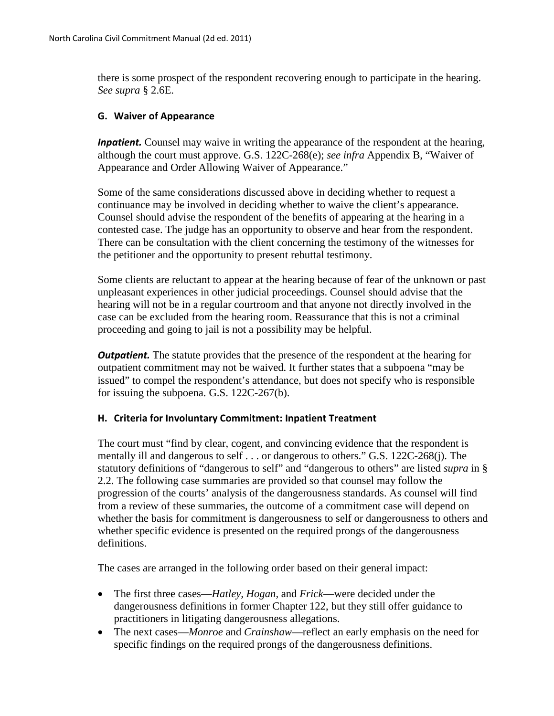there is some prospect of the respondent recovering enough to participate in the hearing. *See supra* § 2.6E.

#### **G. Waiver of Appearance**

*Inpatient.* Counsel may waive in writing the appearance of the respondent at the hearing, although the court must approve. G.S. 122C-268(e); *see infra* Appendix B, "Waiver of Appearance and Order Allowing Waiver of Appearance."

Some of the same considerations discussed above in deciding whether to request a continuance may be involved in deciding whether to waive the client's appearance. Counsel should advise the respondent of the benefits of appearing at the hearing in a contested case. The judge has an opportunity to observe and hear from the respondent. There can be consultation with the client concerning the testimony of the witnesses for the petitioner and the opportunity to present rebuttal testimony.

Some clients are reluctant to appear at the hearing because of fear of the unknown or past unpleasant experiences in other judicial proceedings. Counsel should advise that the hearing will not be in a regular courtroom and that anyone not directly involved in the case can be excluded from the hearing room. Reassurance that this is not a criminal proceeding and going to jail is not a possibility may be helpful.

*Outpatient.* The statute provides that the presence of the respondent at the hearing for outpatient commitment may not be waived. It further states that a subpoena "may be issued" to compel the respondent's attendance, but does not specify who is responsible for issuing the subpoena. G.S. 122C-267(b).

#### **H. Criteria for Involuntary Commitment: Inpatient Treatment**

The court must "find by clear, cogent, and convincing evidence that the respondent is mentally ill and dangerous to self . . . or dangerous to others." G.S. 122C-268(j). The statutory definitions of "dangerous to self" and "dangerous to others" are listed *supra* in § 2.2. The following case summaries are provided so that counsel may follow the progression of the courts' analysis of the dangerousness standards. As counsel will find from a review of these summaries, the outcome of a commitment case will depend on whether the basis for commitment is dangerousness to self or dangerousness to others and whether specific evidence is presented on the required prongs of the dangerousness definitions.

The cases are arranged in the following order based on their general impact:

- The first three cases—*Hatley, Hogan,* and *Frick*—were decided under the dangerousness definitions in former Chapter 122, but they still offer guidance to practitioners in litigating dangerousness allegations.
- The next cases—*Monroe* and *Crainshaw*—reflect an early emphasis on the need for specific findings on the required prongs of the dangerousness definitions.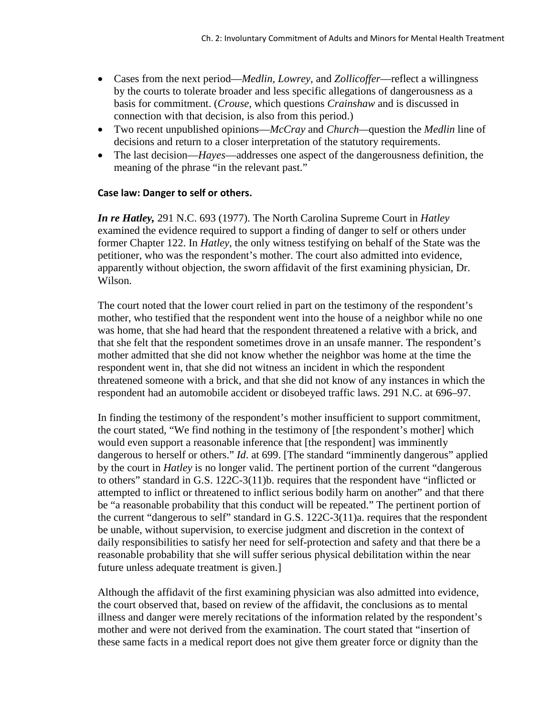- Cases from the next period—*Medlin, Lowrey,* and *Zollicoffer*—reflect a willingness by the courts to tolerate broader and less specific allegations of dangerousness as a basis for commitment. (*Crouse,* which questions *Crainshaw* and is discussed in connection with that decision, is also from this period.)
- Two recent unpublished opinions—*McCray* and *Church—*question the *Medlin* line of decisions and return to a closer interpretation of the statutory requirements.
- The last decision—*Hayes*—addresses one aspect of the dangerousness definition, the meaning of the phrase "in the relevant past."

### **Case law: Danger to self or others.**

*In re Hatley,* 291 N.C. 693 (1977). The North Carolina Supreme Court in *Hatley*  examined the evidence required to support a finding of danger to self or others under former Chapter 122. In *Hatley*, the only witness testifying on behalf of the State was the petitioner, who was the respondent's mother. The court also admitted into evidence, apparently without objection, the sworn affidavit of the first examining physician, Dr. Wilson.

The court noted that the lower court relied in part on the testimony of the respondent's mother, who testified that the respondent went into the house of a neighbor while no one was home, that she had heard that the respondent threatened a relative with a brick, and that she felt that the respondent sometimes drove in an unsafe manner. The respondent's mother admitted that she did not know whether the neighbor was home at the time the respondent went in, that she did not witness an incident in which the respondent threatened someone with a brick, and that she did not know of any instances in which the respondent had an automobile accident or disobeyed traffic laws. 291 N.C. at 696–97.

In finding the testimony of the respondent's mother insufficient to support commitment, the court stated, "We find nothing in the testimony of [the respondent's mother] which would even support a reasonable inference that [the respondent] was imminently dangerous to herself or others." *Id.* at 699. [The standard "imminently dangerous" applied by the court in *Hatley* is no longer valid. The pertinent portion of the current "dangerous to others" standard in G.S. 122C-3(11)b. requires that the respondent have "inflicted or attempted to inflict or threatened to inflict serious bodily harm on another" and that there be "a reasonable probability that this conduct will be repeated." The pertinent portion of the current "dangerous to self" standard in G.S. 122C-3(11)a. requires that the respondent be unable, without supervision, to exercise judgment and discretion in the context of daily responsibilities to satisfy her need for self-protection and safety and that there be a reasonable probability that she will suffer serious physical debilitation within the near future unless adequate treatment is given.]

Although the affidavit of the first examining physician was also admitted into evidence, the court observed that, based on review of the affidavit, the conclusions as to mental illness and danger were merely recitations of the information related by the respondent's mother and were not derived from the examination. The court stated that "insertion of these same facts in a medical report does not give them greater force or dignity than the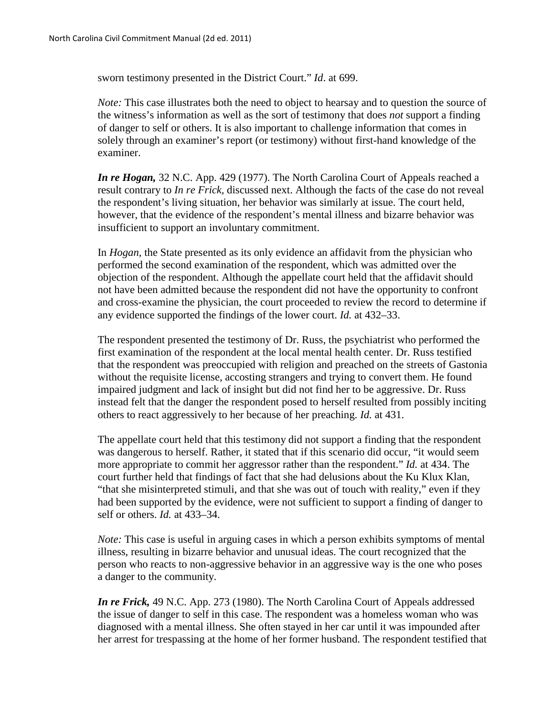sworn testimony presented in the District Court." *Id*. at 699.

*Note:* This case illustrates both the need to object to hearsay and to question the source of the witness's information as well as the sort of testimony that does *not* support a finding of danger to self or others. It is also important to challenge information that comes in solely through an examiner's report (or testimony) without first-hand knowledge of the examiner.

*In re Hogan,* 32 N.C. App. 429 (1977). The North Carolina Court of Appeals reached a result contrary to *In re Frick,* discussed next. Although the facts of the case do not reveal the respondent's living situation, her behavior was similarly at issue. The court held, however, that the evidence of the respondent's mental illness and bizarre behavior was insufficient to support an involuntary commitment.

In *Hogan,* the State presented as its only evidence an affidavit from the physician who performed the second examination of the respondent, which was admitted over the objection of the respondent. Although the appellate court held that the affidavit should not have been admitted because the respondent did not have the opportunity to confront and cross-examine the physician, the court proceeded to review the record to determine if any evidence supported the findings of the lower court. *Id.* at 432–33.

The respondent presented the testimony of Dr. Russ, the psychiatrist who performed the first examination of the respondent at the local mental health center. Dr. Russ testified that the respondent was preoccupied with religion and preached on the streets of Gastonia without the requisite license, accosting strangers and trying to convert them. He found impaired judgment and lack of insight but did not find her to be aggressive. Dr. Russ instead felt that the danger the respondent posed to herself resulted from possibly inciting others to react aggressively to her because of her preaching. *Id.* at 431.

The appellate court held that this testimony did not support a finding that the respondent was dangerous to herself. Rather, it stated that if this scenario did occur, "it would seem more appropriate to commit her aggressor rather than the respondent." *Id.* at 434. The court further held that findings of fact that she had delusions about the Ku Klux Klan, "that she misinterpreted stimuli, and that she was out of touch with reality," even if they had been supported by the evidence, were not sufficient to support a finding of danger to self or others. *Id.* at 433–34.

*Note:* This case is useful in arguing cases in which a person exhibits symptoms of mental illness, resulting in bizarre behavior and unusual ideas. The court recognized that the person who reacts to non-aggressive behavior in an aggressive way is the one who poses a danger to the community.

*In re Frick,* 49 N.C. App. 273 (1980). The North Carolina Court of Appeals addressed the issue of danger to self in this case. The respondent was a homeless woman who was diagnosed with a mental illness. She often stayed in her car until it was impounded after her arrest for trespassing at the home of her former husband. The respondent testified that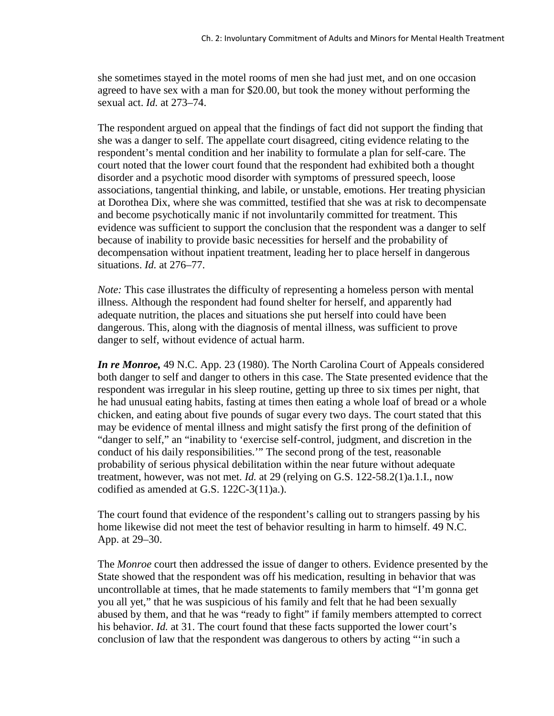she sometimes stayed in the motel rooms of men she had just met, and on one occasion agreed to have sex with a man for \$20.00, but took the money without performing the sexual act. *Id.* at 273–74.

The respondent argued on appeal that the findings of fact did not support the finding that she was a danger to self. The appellate court disagreed, citing evidence relating to the respondent's mental condition and her inability to formulate a plan for self-care. The court noted that the lower court found that the respondent had exhibited both a thought disorder and a psychotic mood disorder with symptoms of pressured speech, loose associations, tangential thinking, and labile, or unstable, emotions. Her treating physician at Dorothea Dix, where she was committed, testified that she was at risk to decompensate and become psychotically manic if not involuntarily committed for treatment. This evidence was sufficient to support the conclusion that the respondent was a danger to self because of inability to provide basic necessities for herself and the probability of decompensation without inpatient treatment, leading her to place herself in dangerous situations. *Id.* at 276–77.

*Note:* This case illustrates the difficulty of representing a homeless person with mental illness. Although the respondent had found shelter for herself, and apparently had adequate nutrition, the places and situations she put herself into could have been dangerous. This, along with the diagnosis of mental illness, was sufficient to prove danger to self, without evidence of actual harm.

*In re Monroe,* 49 N.C. App. 23 (1980). The North Carolina Court of Appeals considered both danger to self and danger to others in this case. The State presented evidence that the respondent was irregular in his sleep routine, getting up three to six times per night, that he had unusual eating habits, fasting at times then eating a whole loaf of bread or a whole chicken, and eating about five pounds of sugar every two days. The court stated that this may be evidence of mental illness and might satisfy the first prong of the definition of "danger to self," an "inability to 'exercise self-control, judgment, and discretion in the conduct of his daily responsibilities.'" The second prong of the test, reasonable probability of serious physical debilitation within the near future without adequate treatment, however, was not met. *Id.* at 29 (relying on G.S. 122-58.2(1)a.1.I., now codified as amended at G.S. 122C-3(11)a.).

The court found that evidence of the respondent's calling out to strangers passing by his home likewise did not meet the test of behavior resulting in harm to himself. 49 N.C. App. at 29–30.

The *Monroe* court then addressed the issue of danger to others. Evidence presented by the State showed that the respondent was off his medication, resulting in behavior that was uncontrollable at times, that he made statements to family members that "I'm gonna get you all yet," that he was suspicious of his family and felt that he had been sexually abused by them, and that he was "ready to fight" if family members attempted to correct his behavior. *Id.* at 31. The court found that these facts supported the lower court's conclusion of law that the respondent was dangerous to others by acting "'in such a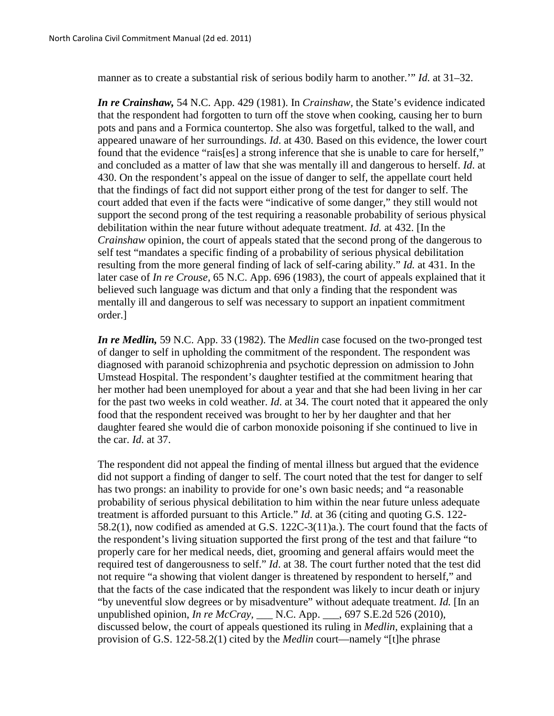manner as to create a substantial risk of serious bodily harm to another.'" *Id.* at 31–32.

*In re Crainshaw,* 54 N.C. App. 429 (1981). In *Crainshaw,* the State's evidence indicated that the respondent had forgotten to turn off the stove when cooking, causing her to burn pots and pans and a Formica countertop. She also was forgetful, talked to the wall, and appeared unaware of her surroundings. *Id*. at 430. Based on this evidence, the lower court found that the evidence "rais[es] a strong inference that she is unable to care for herself," and concluded as a matter of law that she was mentally ill and dangerous to herself. *Id*. at 430. On the respondent's appeal on the issue of danger to self, the appellate court held that the findings of fact did not support either prong of the test for danger to self. The court added that even if the facts were "indicative of some danger," they still would not support the second prong of the test requiring a reasonable probability of serious physical debilitation within the near future without adequate treatment. *Id.* at 432. [In the *Crainshaw* opinion, the court of appeals stated that the second prong of the dangerous to self test "mandates a specific finding of a probability of serious physical debilitation resulting from the more general finding of lack of self-caring ability." *Id.* at 431. In the later case of *In re Crouse,* 65 N.C. App. 696 (1983), the court of appeals explained that it believed such language was dictum and that only a finding that the respondent was mentally ill and dangerous to self was necessary to support an inpatient commitment order.]

*In re Medlin,* 59 N.C. App. 33 (1982). The *Medlin* case focused on the two-pronged test of danger to self in upholding the commitment of the respondent. The respondent was diagnosed with paranoid schizophrenia and psychotic depression on admission to John Umstead Hospital. The respondent's daughter testified at the commitment hearing that her mother had been unemployed for about a year and that she had been living in her car for the past two weeks in cold weather. *Id*. at 34. The court noted that it appeared the only food that the respondent received was brought to her by her daughter and that her daughter feared she would die of carbon monoxide poisoning if she continued to live in the car. *Id*. at 37.

The respondent did not appeal the finding of mental illness but argued that the evidence did not support a finding of danger to self. The court noted that the test for danger to self has two prongs: an inability to provide for one's own basic needs; and "a reasonable probability of serious physical debilitation to him within the near future unless adequate treatment is afforded pursuant to this Article." *Id*. at 36 (citing and quoting G.S. 122- 58.2(1), now codified as amended at G.S. 122C-3(11)a.). The court found that the facts of the respondent's living situation supported the first prong of the test and that failure "to properly care for her medical needs, diet, grooming and general affairs would meet the required test of dangerousness to self." *Id*. at 38. The court further noted that the test did not require "a showing that violent danger is threatened by respondent to herself," and that the facts of the case indicated that the respondent was likely to incur death or injury "by uneventful slow degrees or by misadventure" without adequate treatment. *Id.* [In an unpublished opinion, *In re McCray,* \_\_\_ N.C. App. \_\_\_, 697 S.E.2d 526 (2010), discussed below, the court of appeals questioned its ruling in *Medlin*, explaining that a provision of G.S. 122-58.2(1) cited by the *Medlin* court—namely "[t]he phrase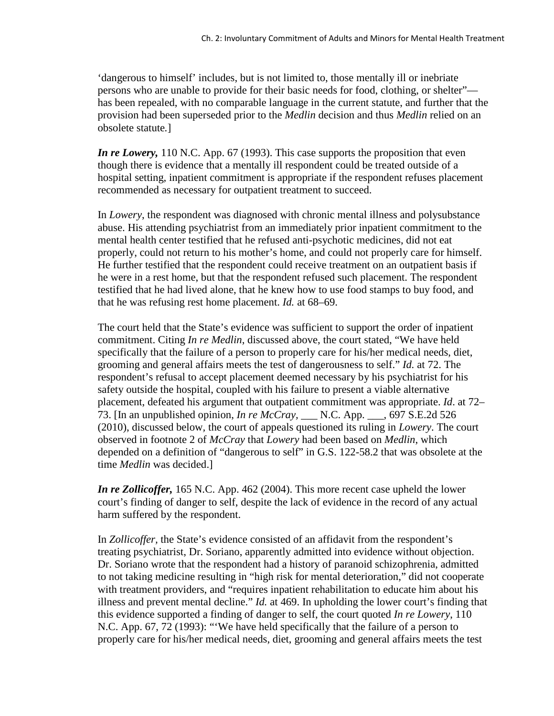'dangerous to himself' includes, but is not limited to, those mentally ill or inebriate persons who are unable to provide for their basic needs for food, clothing, or shelter" has been repealed, with no comparable language in the current statute, and further that the provision had been superseded prior to the *Medlin* decision and thus *Medlin* relied on an obsolete statute*.*]

*In re Lowery,* 110 N.C. App. 67 (1993). This case supports the proposition that even though there is evidence that a mentally ill respondent could be treated outside of a hospital setting, inpatient commitment is appropriate if the respondent refuses placement recommended as necessary for outpatient treatment to succeed.

In *Lowery*, the respondent was diagnosed with chronic mental illness and polysubstance abuse. His attending psychiatrist from an immediately prior inpatient commitment to the mental health center testified that he refused anti-psychotic medicines, did not eat properly, could not return to his mother's home, and could not properly care for himself. He further testified that the respondent could receive treatment on an outpatient basis if he were in a rest home, but that the respondent refused such placement. The respondent testified that he had lived alone, that he knew how to use food stamps to buy food, and that he was refusing rest home placement. *Id.* at 68–69.

The court held that the State's evidence was sufficient to support the order of inpatient commitment. Citing *In re Medlin*, discussed above, the court stated, "We have held specifically that the failure of a person to properly care for his/her medical needs, diet, grooming and general affairs meets the test of dangerousness to self." *Id.* at 72. The respondent's refusal to accept placement deemed necessary by his psychiatrist for his safety outside the hospital, coupled with his failure to present a viable alternative placement, defeated his argument that outpatient commitment was appropriate. *Id*. at 72– 73. [In an unpublished opinion, *In re McCray,* \_\_\_ N.C. App. \_\_\_, 697 S.E.2d 526 (2010), discussed below*,* the court of appeals questioned its ruling in *Lowery*. The court observed in footnote 2 of *McCray* that *Lowery* had been based on *Medlin*, which depended on a definition of "dangerous to self" in G.S. 122-58.2 that was obsolete at the time *Medlin* was decided.]

*In re Zollicoffer,* 165 N.C. App. 462 (2004). This more recent case upheld the lower court's finding of danger to self, despite the lack of evidence in the record of any actual harm suffered by the respondent.

In *Zollicoffer,* the State's evidence consisted of an affidavit from the respondent's treating psychiatrist, Dr. Soriano, apparently admitted into evidence without objection. Dr. Soriano wrote that the respondent had a history of paranoid schizophrenia, admitted to not taking medicine resulting in "high risk for mental deterioration," did not cooperate with treatment providers, and "requires inpatient rehabilitation to educate him about his illness and prevent mental decline." *Id.* at 469. In upholding the lower court's finding that this evidence supported a finding of danger to self, the court quoted *In re Lowery*, 110 N.C. App. 67, 72 (1993): "'We have held specifically that the failure of a person to properly care for his/her medical needs, diet, grooming and general affairs meets the test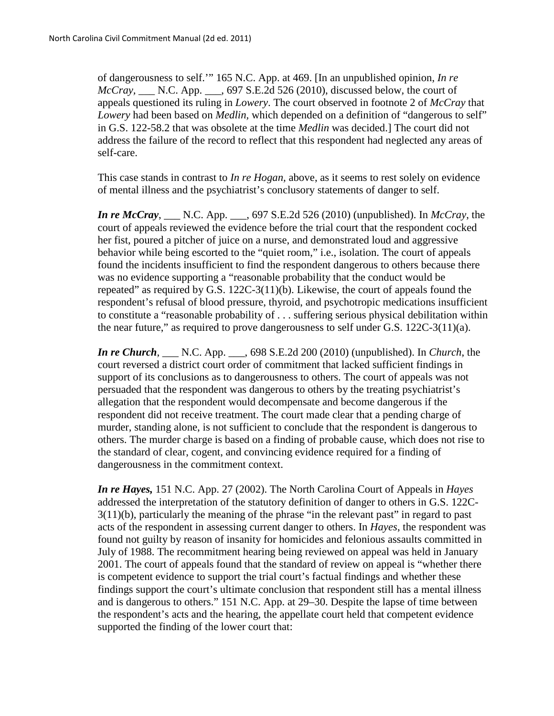of dangerousness to self.'" 165 N.C. App. at 469. [In an unpublished opinion, *In re McCray, \_\_\_* N.C. App. \_\_\_, 697 S.E.2d 526 (2010), discussed below*,* the court of appeals questioned its ruling in *Lowery*. The court observed in footnote 2 of *McCray* that *Lowery* had been based on *Medlin,* which depended on a definition of "dangerous to self" in G.S. 122-58.2 that was obsolete at the time *Medlin* was decided.] The court did not address the failure of the record to reflect that this respondent had neglected any areas of self-care.

This case stands in contrast to *In re Hogan,* above, as it seems to rest solely on evidence of mental illness and the psychiatrist's conclusory statements of danger to self.

*In re McCray*, \_\_\_ N.C. App. \_\_\_, 697 S.E.2d 526 (2010) (unpublished). In *McCray*, the court of appeals reviewed the evidence before the trial court that the respondent cocked her fist, poured a pitcher of juice on a nurse, and demonstrated loud and aggressive behavior while being escorted to the "quiet room," i.e., isolation. The court of appeals found the incidents insufficient to find the respondent dangerous to others because there was no evidence supporting a "reasonable probability that the conduct would be repeated" as required by G.S. 122C-3(11)(b). Likewise, the court of appeals found the respondent's refusal of blood pressure, thyroid, and psychotropic medications insufficient to constitute a "reasonable probability of . . . suffering serious physical debilitation within the near future," as required to prove dangerousness to self under G.S. 122C-3(11)(a).

*In re Church*, \_\_\_ N.C. App. \_\_\_, 698 S.E.2d 200 (2010) (unpublished). In *Church*, the court reversed a district court order of commitment that lacked sufficient findings in support of its conclusions as to dangerousness to others. The court of appeals was not persuaded that the respondent was dangerous to others by the treating psychiatrist's allegation that the respondent would decompensate and become dangerous if the respondent did not receive treatment. The court made clear that a pending charge of murder, standing alone, is not sufficient to conclude that the respondent is dangerous to others. The murder charge is based on a finding of probable cause, which does not rise to the standard of clear, cogent, and convincing evidence required for a finding of dangerousness in the commitment context.

*In re Hayes,* 151 N.C. App. 27 (2002). The North Carolina Court of Appeals in *Hayes* addressed the interpretation of the statutory definition of danger to others in G.S. 122C-3(11)(b), particularly the meaning of the phrase "in the relevant past" in regard to past acts of the respondent in assessing current danger to others. In *Hayes*, the respondent was found not guilty by reason of insanity for homicides and felonious assaults committed in July of 1988. The recommitment hearing being reviewed on appeal was held in January 2001. The court of appeals found that the standard of review on appeal is "whether there is competent evidence to support the trial court's factual findings and whether these findings support the court's ultimate conclusion that respondent still has a mental illness and is dangerous to others." 151 N.C. App. at 29–30. Despite the lapse of time between the respondent's acts and the hearing, the appellate court held that competent evidence supported the finding of the lower court that: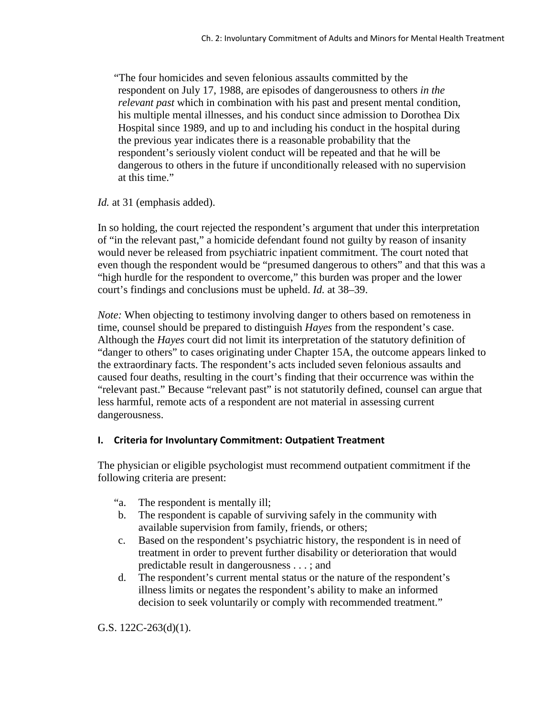"The four homicides and seven felonious assaults committed by the respondent on July 17, 1988, are episodes of dangerousness to others *in the relevant past* which in combination with his past and present mental condition, his multiple mental illnesses, and his conduct since admission to Dorothea Dix Hospital since 1989, and up to and including his conduct in the hospital during the previous year indicates there is a reasonable probability that the respondent's seriously violent conduct will be repeated and that he will be dangerous to others in the future if unconditionally released with no supervision at this time."

*Id.* at 31 (emphasis added).

In so holding, the court rejected the respondent's argument that under this interpretation of "in the relevant past," a homicide defendant found not guilty by reason of insanity would never be released from psychiatric inpatient commitment. The court noted that even though the respondent would be "presumed dangerous to others" and that this was a "high hurdle for the respondent to overcome," this burden was proper and the lower court's findings and conclusions must be upheld. *Id.* at 38–39.

*Note:* When objecting to testimony involving danger to others based on remoteness in time, counsel should be prepared to distinguish *Hayes* from the respondent's case. Although the *Hayes* court did not limit its interpretation of the statutory definition of "danger to others" to cases originating under Chapter 15A, the outcome appears linked to the extraordinary facts. The respondent's acts included seven felonious assaults and caused four deaths, resulting in the court's finding that their occurrence was within the "relevant past." Because "relevant past" is not statutorily defined, counsel can argue that less harmful, remote acts of a respondent are not material in assessing current dangerousness.

### **I. Criteria for Involuntary Commitment: Outpatient Treatment**

The physician or eligible psychologist must recommend outpatient commitment if the following criteria are present:

- "a. The respondent is mentally ill;
- b. The respondent is capable of surviving safely in the community with available supervision from family, friends, or others;
- c. Based on the respondent's psychiatric history, the respondent is in need of treatment in order to prevent further disability or deterioration that would predictable result in dangerousness . . . ; and
- d. The respondent's current mental status or the nature of the respondent's illness limits or negates the respondent's ability to make an informed decision to seek voluntarily or comply with recommended treatment."

G.S. 122C-263(d)(1).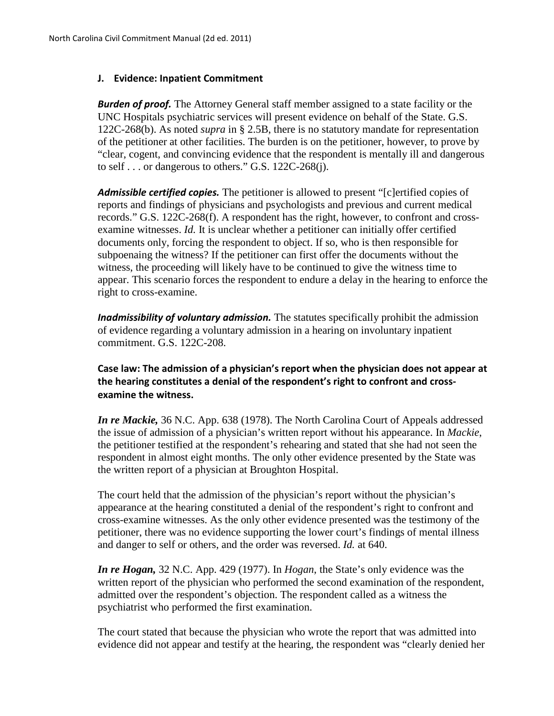#### **J. Evidence: Inpatient Commitment**

*Burden of proof.* The Attorney General staff member assigned to a state facility or the UNC Hospitals psychiatric services will present evidence on behalf of the State. G.S. 122C-268(b). As noted *supra* in § 2.5B, there is no statutory mandate for representation of the petitioner at other facilities. The burden is on the petitioner, however, to prove by "clear, cogent, and convincing evidence that the respondent is mentally ill and dangerous to self  $\ldots$  or dangerous to others." G.S. 122C-268(j).

*Admissible certified copies.* The petitioner is allowed to present "[c]ertified copies of reports and findings of physicians and psychologists and previous and current medical records." G.S. 122C-268(f). A respondent has the right, however, to confront and crossexamine witnesses. *Id.* It is unclear whether a petitioner can initially offer certified documents only, forcing the respondent to object. If so, who is then responsible for subpoenaing the witness? If the petitioner can first offer the documents without the witness, the proceeding will likely have to be continued to give the witness time to appear. This scenario forces the respondent to endure a delay in the hearing to enforce the right to cross-examine.

*Inadmissibility of voluntary admission.* The statutes specifically prohibit the admission of evidence regarding a voluntary admission in a hearing on involuntary inpatient commitment. G.S. 122C-208.

### **Case law: The admission of a physician's report when the physician does not appear at the hearing constitutes a denial of the respondent's right to confront and crossexamine the witness.**

*In re Mackie,* 36 N.C. App. 638 (1978). The North Carolina Court of Appeals addressed the issue of admission of a physician's written report without his appearance. In *Mackie*, the petitioner testified at the respondent's rehearing and stated that she had not seen the respondent in almost eight months. The only other evidence presented by the State was the written report of a physician at Broughton Hospital.

The court held that the admission of the physician's report without the physician's appearance at the hearing constituted a denial of the respondent's right to confront and cross-examine witnesses. As the only other evidence presented was the testimony of the petitioner, there was no evidence supporting the lower court's findings of mental illness and danger to self or others, and the order was reversed. *Id.* at 640.

*In re Hogan,* 32 N.C. App. 429 (1977). In *Hogan*, the State's only evidence was the written report of the physician who performed the second examination of the respondent, admitted over the respondent's objection. The respondent called as a witness the psychiatrist who performed the first examination.

The court stated that because the physician who wrote the report that was admitted into evidence did not appear and testify at the hearing, the respondent was "clearly denied her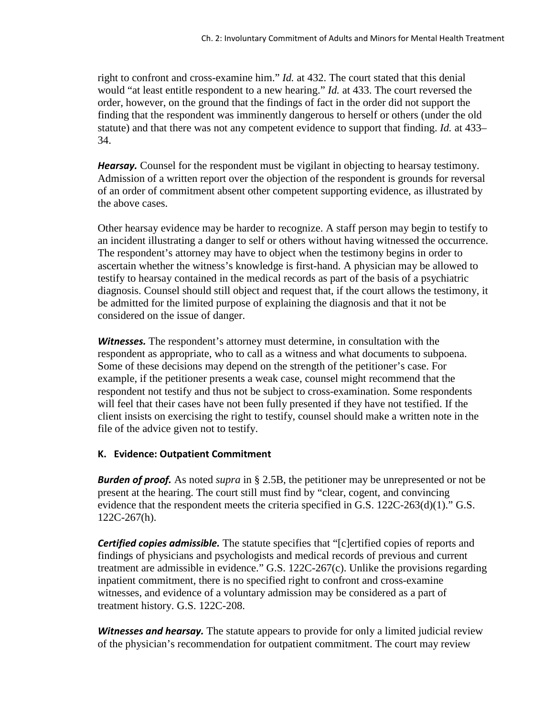right to confront and cross-examine him." *Id.* at 432. The court stated that this denial would "at least entitle respondent to a new hearing." *Id.* at 433. The court reversed the order, however, on the ground that the findings of fact in the order did not support the finding that the respondent was imminently dangerous to herself or others (under the old statute) and that there was not any competent evidence to support that finding. *Id.* at 433– 34.

*Hearsay.* Counsel for the respondent must be vigilant in objecting to hearsay testimony. Admission of a written report over the objection of the respondent is grounds for reversal of an order of commitment absent other competent supporting evidence, as illustrated by the above cases.

Other hearsay evidence may be harder to recognize. A staff person may begin to testify to an incident illustrating a danger to self or others without having witnessed the occurrence. The respondent's attorney may have to object when the testimony begins in order to ascertain whether the witness's knowledge is first-hand. A physician may be allowed to testify to hearsay contained in the medical records as part of the basis of a psychiatric diagnosis. Counsel should still object and request that, if the court allows the testimony, it be admitted for the limited purpose of explaining the diagnosis and that it not be considered on the issue of danger.

*Witnesses.* The respondent's attorney must determine, in consultation with the respondent as appropriate, who to call as a witness and what documents to subpoena. Some of these decisions may depend on the strength of the petitioner's case. For example, if the petitioner presents a weak case, counsel might recommend that the respondent not testify and thus not be subject to cross-examination. Some respondents will feel that their cases have not been fully presented if they have not testified. If the client insists on exercising the right to testify, counsel should make a written note in the file of the advice given not to testify.

### **K. Evidence: Outpatient Commitment**

*Burden of proof.* As noted *supra* in § 2.5B, the petitioner may be unrepresented or not be present at the hearing. The court still must find by "clear, cogent, and convincing evidence that the respondent meets the criteria specified in G.S. 122C-263(d)(1)." G.S. 122C-267(h).

**Certified copies admissible.** The statute specifies that "[c]ertified copies of reports and findings of physicians and psychologists and medical records of previous and current treatment are admissible in evidence." G.S. 122C-267(c). Unlike the provisions regarding inpatient commitment, there is no specified right to confront and cross-examine witnesses, and evidence of a voluntary admission may be considered as a part of treatment history. G.S. 122C-208.

*Witnesses and hearsay.* The statute appears to provide for only a limited judicial review of the physician's recommendation for outpatient commitment. The court may review